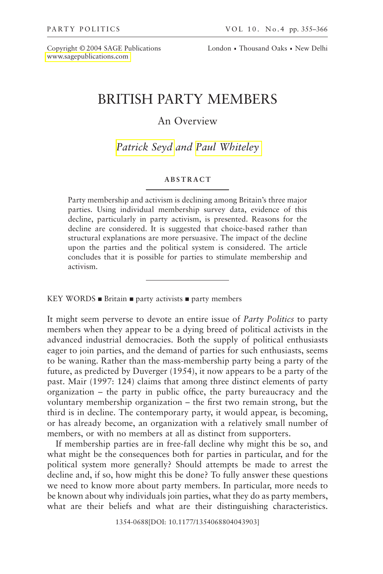<www.sagepublications.com>

Copyright © 2004 SAGE Publications London • Thousand Oaks • New Delhi

# BRITISH PARTY MEMBERS

# An Overview

*[Patrick Seyd](#page-11-0) and [Paul Whiteley](#page-11-0)*

#### **ABSTRACT**

Party membership and activism is declining among Britain's three major parties. Using individual membership survey data, evidence of this decline, particularly in party activism, is presented. Reasons for the decline are considered. It is suggested that choice-based rather than structural explanations are more persuasive. The impact of the decline upon the parties and the political system is considered. The article concludes that it is possible for parties to stimulate membership and activism.

KEY WORDS  $\blacksquare$  Britain  $\blacksquare$  party activists  $\blacksquare$  party members

It might seem perverse to devote an entire issue of *Party Politics* to party members when they appear to be a dying breed of political activists in the advanced industrial democracies. Both the supply of political enthusiasts eager to join parties, and the demand of parties for such enthusiasts, seems to be waning. Rather than the mass-membership party being a party of the future, as predicted by Duverger (1954), it now appears to be a party of the past. Mair (1997: 124) claims that among three distinct elements of party organization – the party in public office, the party bureaucracy and the voluntary membership organization – the first two remain strong, but the third is in decline. The contemporary party, it would appear, is becoming, or has already become, an organization with a relatively small number of members, or with no members at all as distinct from supporters.

If membership parties are in free-fall decline why might this be so, and what might be the consequences both for parties in particular, and for the political system more generally? Should attempts be made to arrest the decline and, if so, how might this be done? To fully answer these questions we need to know more about party members. In particular, more needs to be known about why individuals join parties, what they do as party members, what are their beliefs and what are their distinguishing characteristics.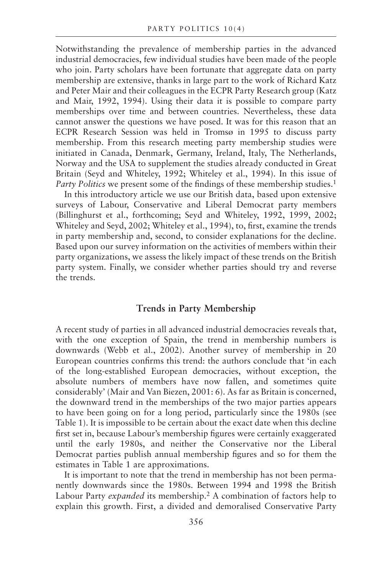Notwithstanding the prevalence of membership parties in the advanced industrial democracies, few individual studies have been made of the people who join. Party scholars have been fortunate that aggregate data on party membership are extensive, thanks in large part to the work of Richard Katz and Peter Mair and their colleagues in the ECPR Party Research group (Katz and Mair, 1992, 1994). Using their data it is possible to compare party memberships over time and between countries. Nevertheless, these data cannot answer the questions we have posed. It was for this reason that an ECPR Research Session was held in Tromsø in 1995 to discuss party membership. From this research meeting party membership studies were initiated in Canada, Denmark, Germany, Ireland, Italy, The Netherlands, Norway and the USA to supplement the studies already conducted in Great Britain (Seyd and Whiteley, 1992; Whiteley et al., 1994). In this issue of Party Politics we present some of the findings of these membership studies.<sup>1</sup>

In this introductory article we use our British data, based upon extensive surveys of Labour, Conservative and Liberal Democrat party members (Billinghurst et al., forthcoming; Seyd and Whiteley, 1992, 1999, 2002; Whiteley and Seyd, 2002; Whiteley et al., 1994), to, first, examine the trends in party membership and, second, to consider explanations for the decline. Based upon our survey information on the activities of members within their party organizations, we assess the likely impact of these trends on the British party system. Finally, we consider whether parties should try and reverse the trends.

### **Trends in Party Membership**

A recent study of parties in all advanced industrial democracies reveals that, with the one exception of Spain, the trend in membership numbers is downwards (Webb et al., 2002). Another survey of membership in 20 European countries confirms this trend: the authors conclude that 'in each of the long-established European democracies, without exception, the absolute numbers of members have now fallen, and sometimes quite considerably' (Mair and Van Biezen, 2001: 6). As far as Britain is concerned, the downward trend in the memberships of the two major parties appears to have been going on for a long period, particularly since the 1980s (see Table 1). It is impossible to be certain about the exact date when this decline first set in, because Labour's membership figures were certainly exaggerated until the early 1980s, and neither the Conservative nor the Liberal Democrat parties publish annual membership figures and so for them the estimates in Table 1 are approximations.

It is important to note that the trend in membership has not been permanently downwards since the 1980s. Between 1994 and 1998 the British Labour Party *expanded* its membership.2 A combination of factors help to explain this growth. First, a divided and demoralised Conservative Party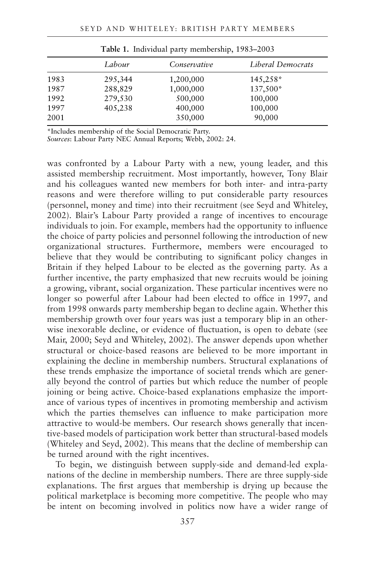|      | Labour  | Conservative | Liberal Democrats |  |  |
|------|---------|--------------|-------------------|--|--|
| 1983 | 295,344 | 1,200,000    | 145,258*          |  |  |
| 1987 | 288,829 | 1,000,000    | 137,500*          |  |  |
| 1992 | 279,530 | 500,000      | 100,000           |  |  |
| 1997 | 405,238 | 400,000      | 100,000           |  |  |
| 2001 |         | 350,000      | 90,000            |  |  |

**Table 1.** Individual party membership, 1983–2003

\*Includes membership of the Social Democratic Party.

*Sources*: Labour Party NEC Annual Reports; Webb, 2002: 24.

was confronted by a Labour Party with a new, young leader, and this assisted membership recruitment. Most importantly, however, Tony Blair and his colleagues wanted new members for both inter- and intra-party reasons and were therefore willing to put considerable party resources (personnel, money and time) into their recruitment (see Seyd and Whiteley, 2002). Blair's Labour Party provided a range of incentives to encourage individuals to join. For example, members had the opportunity to influence the choice of party policies and personnel following the introduction of new organizational structures. Furthermore, members were encouraged to believe that they would be contributing to significant policy changes in Britain if they helped Labour to be elected as the governing party. As a further incentive, the party emphasized that new recruits would be joining a growing, vibrant, social organization. These particular incentives were no longer so powerful after Labour had been elected to office in 1997, and from 1998 onwards party membership began to decline again. Whether this membership growth over four years was just a temporary blip in an otherwise inexorable decline, or evidence of fluctuation, is open to debate (see Mair, 2000; Seyd and Whiteley, 2002). The answer depends upon whether structural or choice-based reasons are believed to be more important in explaining the decline in membership numbers. Structural explanations of these trends emphasize the importance of societal trends which are generally beyond the control of parties but which reduce the number of people joining or being active. Choice-based explanations emphasize the importance of various types of incentives in promoting membership and activism which the parties themselves can influence to make participation more attractive to would-be members. Our research shows generally that incentive-based models of participation work better than structural-based models (Whiteley and Seyd, 2002). This means that the decline of membership can be turned around with the right incentives.

To begin, we distinguish between supply-side and demand-led explanations of the decline in membership numbers. There are three supply-side explanations. The first argues that membership is drying up because the political marketplace is becoming more competitive. The people who may be intent on becoming involved in politics now have a wider range of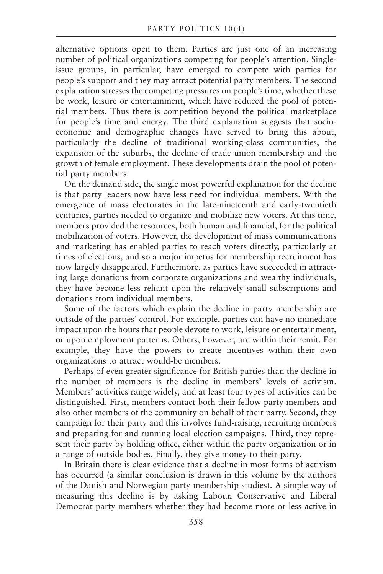alternative options open to them. Parties are just one of an increasing number of political organizations competing for people's attention. Singleissue groups, in particular, have emerged to compete with parties for people's support and they may attract potential party members. The second explanation stresses the competing pressures on people's time, whether these be work, leisure or entertainment, which have reduced the pool of potential members. Thus there is competition beyond the political marketplace for people's time and energy. The third explanation suggests that socioeconomic and demographic changes have served to bring this about, particularly the decline of traditional working-class communities, the expansion of the suburbs, the decline of trade union membership and the growth of female employment. These developments drain the pool of potential party members.

On the demand side, the single most powerful explanation for the decline is that party leaders now have less need for individual members. With the emergence of mass electorates in the late-nineteenth and early-twentieth centuries, parties needed to organize and mobilize new voters. At this time, members provided the resources, both human and financial, for the political mobilization of voters. However, the development of mass communications and marketing has enabled parties to reach voters directly, particularly at times of elections, and so a major impetus for membership recruitment has now largely disappeared. Furthermore, as parties have succeeded in attracting large donations from corporate organizations and wealthy individuals, they have become less reliant upon the relatively small subscriptions and donations from individual members.

Some of the factors which explain the decline in party membership are outside of the parties' control. For example, parties can have no immediate impact upon the hours that people devote to work, leisure or entertainment, or upon employment patterns. Others, however, are within their remit. For example, they have the powers to create incentives within their own organizations to attract would-be members.

Perhaps of even greater significance for British parties than the decline in the number of members is the decline in members' levels of activism. Members' activities range widely, and at least four types of activities can be distinguished. First, members contact both their fellow party members and also other members of the community on behalf of their party. Second, they campaign for their party and this involves fund-raising, recruiting members and preparing for and running local election campaigns. Third, they represent their party by holding office, either within the party organization or in a range of outside bodies. Finally, they give money to their party.

In Britain there is clear evidence that a decline in most forms of activism has occurred (a similar conclusion is drawn in this volume by the authors of the Danish and Norwegian party membership studies). A simple way of measuring this decline is by asking Labour, Conservative and Liberal Democrat party members whether they had become more or less active in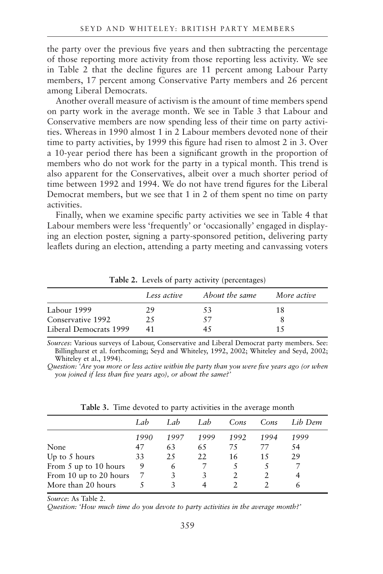the party over the previous five years and then subtracting the percentage of those reporting more activity from those reporting less activity. We see in Table 2 that the decline figures are 11 percent among Labour Party members, 17 percent among Conservative Party members and 26 percent among Liberal Democrats.

Another overall measure of activism is the amount of time members spend on party work in the average month. We see in Table 3 that Labour and Conservative members are now spending less of their time on party activities. Whereas in 1990 almost 1 in 2 Labour members devoted none of their time to party activities, by 1999 this figure had risen to almost 2 in 3. Over a 10-year period there has been a significant growth in the proportion of members who do not work for the party in a typical month. This trend is also apparent for the Conservatives, albeit over a much shorter period of time between 1992 and 1994. We do not have trend figures for the Liberal Democrat members, but we see that 1 in 2 of them spent no time on party activities.

Finally, when we examine specific party activities we see in Table 4 that Labour members were less 'frequently' or 'occasionally' engaged in displaying an election poster, signing a party-sponsored petition, delivering party leaflets during an election, attending a party meeting and canvassing voters

|                        | Less active | About the same | More active |
|------------------------|-------------|----------------|-------------|
| Labour 1999            | 29          | 53             | 18          |
| Conservative 1992      | 25          | 57             |             |
| Liberal Democrats 1999 |             | 45             |             |

**Table 2.** Levels of party activity (percentages)

*Sources*: Various surveys of Labour, Conservative and Liberal Democrat party members. See: Billinghurst et al. forthcoming; Seyd and Whiteley, 1992, 2002; Whiteley and Seyd, 2002; Whiteley et al., 1994).

*Question: 'Are you more or less active within the party than you were five years ago (or when you joined if less than five years ago), or about the same?'*

| Table 3. Time devoted to party activities in the average month |  |  |  |  |
|----------------------------------------------------------------|--|--|--|--|
|                                                                |  |  |  |  |

|                        | Lab. | Lab. | Lab  | Cons | Cons | Lib Dem |
|------------------------|------|------|------|------|------|---------|
|                        | 1990 | 1997 | 1999 | 1992 | 1994 | 1999    |
| None                   | 47   | 63   | 65   |      |      | .54     |
| Up to 5 hours          | 33   | 25   | 22   | 16   | 15   | 29      |
| From 5 up to 10 hours  | 9    | 6    |      |      |      |         |
| From 10 up to 20 hours |      | 3    | 3    |      |      |         |
| More than 20 hours     |      |      |      |      |      |         |

*Source*: As Table 2.

*Question: 'How much time do you devote to party activities in the average month?'*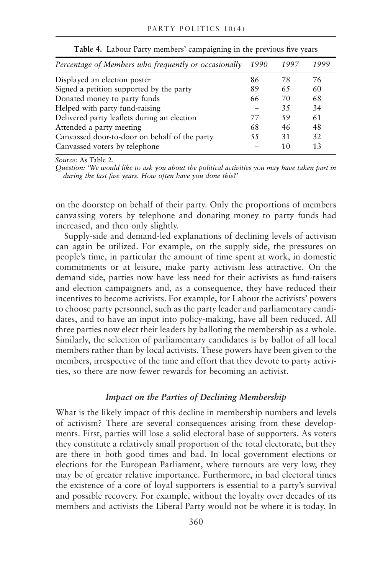| Percentage of Members who frequently or occasionally | 1990 | 1997 | 1995 |
|------------------------------------------------------|------|------|------|
| Displayed an election poster                         | 86   | 78   | 76   |
| Signed a petition supported by the party             | 89   | 65   | 60   |
| Donated money to party funds                         | 66   | 70   | 68   |
| Helped with party fund-raising                       |      | 35   | 34   |
| Delivered party leaflets during an election          | 77   | 59   | 61   |
| Attended a party meeting                             | 68   | 46   | 48   |
| Canvassed door-to-door on behalf of the party        | 55   | 31   | 32   |
| Canvassed voters by telephone                        |      |      | 13   |

**Table 4.** Labour Party members' campaigning in the previous five years

*Source*: As Table 2.

*Question: 'We would like to ask you about the political activities you may have taken part in during the last five years. How often have you done this?'*

on the doorstep on behalf of their party. Only the proportions of members canvassing voters by telephone and donating money to party funds had increased, and then only slightly.

Supply-side and demand-led explanations of declining levels of activism can again be utilized. For example, on the supply side, the pressures on people's time, in particular the amount of time spent at work, in domestic commitments or at leisure, make party activism less attractive. On the demand side, parties now have less need for their activists as fund-raisers and election campaigners and, as a consequence, they have reduced their incentives to become activists. For example, for Labour the activists' powers to choose party personnel, such as the party leader and parliamentary candidates, and to have an input into policy-making, have all been reduced. All three parties now elect their leaders by balloting the membership as a whole. Similarly, the selection of parliamentary candidates is by ballot of all local members rather than by local activists. These powers have been given to the members, irrespective of the time and effort that they devote to party activities, so there are now fewer rewards for becoming an activist.

#### *Impact on the Parties of Declining Membership*

What is the likely impact of this decline in membership numbers and levels of activism? There are several consequences arising from these developments. First, parties will lose a solid electoral base of supporters. As voters they constitute a relatively small proportion of the total electorate, but they are there in both good times and bad. In local government elections or elections for the European Parliament, where turnouts are very low, they may be of greater relative importance. Furthermore, in bad electoral times the existence of a core of loyal supporters is essential to a party's survival and possible recovery. For example, without the loyalty over decades of its members and activists the Liberal Party would not be where it is today. In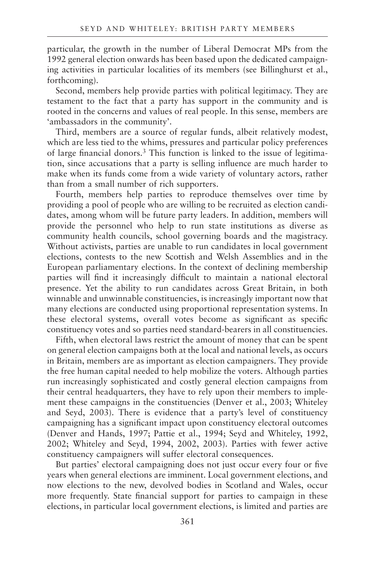particular, the growth in the number of Liberal Democrat MPs from the 1992 general election onwards has been based upon the dedicated campaigning activities in particular localities of its members (see Billinghurst et al., forthcoming).

Second, members help provide parties with political legitimacy. They are testament to the fact that a party has support in the community and is rooted in the concerns and values of real people. In this sense, members are 'ambassadors in the community'.

Third, members are a source of regular funds, albeit relatively modest, which are less tied to the whims, pressures and particular policy preferences of large financial donors.3 This function is linked to the issue of legitimation, since accusations that a party is selling influence are much harder to make when its funds come from a wide variety of voluntary actors, rather than from a small number of rich supporters.

Fourth, members help parties to reproduce themselves over time by providing a pool of people who are willing to be recruited as election candidates, among whom will be future party leaders. In addition, members will provide the personnel who help to run state institutions as diverse as community health councils, school governing boards and the magistracy. Without activists, parties are unable to run candidates in local government elections, contests to the new Scottish and Welsh Assemblies and in the European parliamentary elections. In the context of declining membership parties will find it increasingly difficult to maintain a national electoral presence. Yet the ability to run candidates across Great Britain, in both winnable and unwinnable constituencies, is increasingly important now that many elections are conducted using proportional representation systems. In these electoral systems, overall votes become as significant as specific constituency votes and so parties need standard-bearers in all constituencies.

Fifth, when electoral laws restrict the amount of money that can be spent on general election campaigns both at the local and national levels, as occurs in Britain, members are as important as election campaigners. They provide the free human capital needed to help mobilize the voters. Although parties run increasingly sophisticated and costly general election campaigns from their central headquarters, they have to rely upon their members to implement these campaigns in the constituencies (Denver et al., 2003; Whiteley and Seyd, 2003). There is evidence that a party's level of constituency campaigning has a significant impact upon constituency electoral outcomes (Denver and Hands, 1997; Pattie et al., 1994; Seyd and Whiteley, 1992, 2002; Whiteley and Seyd, 1994, 2002, 2003). Parties with fewer active constituency campaigners will suffer electoral consequences.

But parties' electoral campaigning does not just occur every four or five years when general elections are imminent. Local government elections, and now elections to the new, devolved bodies in Scotland and Wales, occur more frequently. State financial support for parties to campaign in these elections, in particular local government elections, is limited and parties are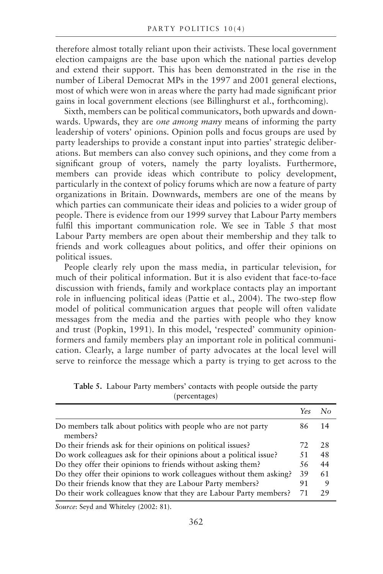therefore almost totally reliant upon their activists. These local government election campaigns are the base upon which the national parties develop and extend their support. This has been demonstrated in the rise in the number of Liberal Democrat MPs in the 1997 and 2001 general elections, most of which were won in areas where the party had made significant prior gains in local government elections (see Billinghurst et al., forthcoming).

Sixth, members can be political communicators, both upwards and downwards. Upwards, they are *one among many* means of informing the party leadership of voters' opinions. Opinion polls and focus groups are used by party leaderships to provide a constant input into parties' strategic deliberations. But members can also convey such opinions, and they come from a significant group of voters, namely the party loyalists. Furthermore, members can provide ideas which contribute to policy development, particularly in the context of policy forums which are now a feature of party organizations in Britain. Downwards, members are one of the means by which parties can communicate their ideas and policies to a wider group of people. There is evidence from our 1999 survey that Labour Party members fulfil this important communication role. We see in Table 5 that most Labour Party members are open about their membership and they talk to friends and work colleagues about politics, and offer their opinions on political issues.

People clearly rely upon the mass media, in particular television, for much of their political information. But it is also evident that face-to-face discussion with friends, family and workplace contacts play an important role in influencing political ideas (Pattie et al., 2004). The two-step flow model of political communication argues that people will often validate messages from the media and the parties with people who they know and trust (Popkin, 1991). In this model, 'respected' community opinionformers and family members play an important role in political communication. Clearly, a large number of party advocates at the local level will serve to reinforce the message which a party is trying to get across to the

| Table 5. Labour Party members' contacts with people outside the party |  |
|-----------------------------------------------------------------------|--|
| (percentages)                                                         |  |
|                                                                       |  |

|                                                                      | Yes | Nο  |
|----------------------------------------------------------------------|-----|-----|
| Do members talk about politics with people who are not party         | 86  | 14  |
| members?                                                             |     |     |
| Do their friends ask for their opinions on political issues?         | 72. | 28  |
| Do work colleagues ask for their opinions about a political issue?   | 51  | 48  |
| Do they offer their opinions to friends without asking them?         | 56  | 44  |
| Do they offer their opinions to work colleagues without them asking? | -39 | 61  |
| Do their friends know that they are Labour Party members?            | 91  | - 9 |
| Do their work colleagues know that they are Labour Party members?    | 71  | 29  |

*Source*: Seyd and Whiteley (2002: 81).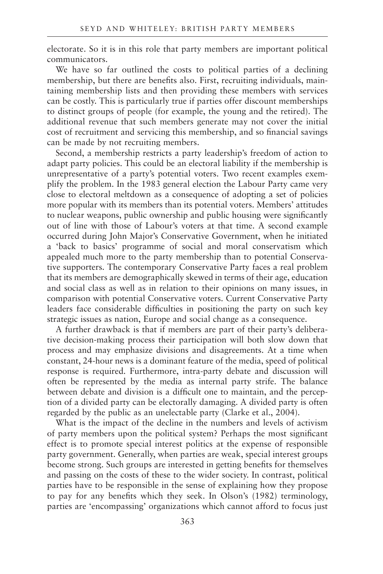electorate. So it is in this role that party members are important political communicators.

We have so far outlined the costs to political parties of a declining membership, but there are benefits also. First, recruiting individuals, maintaining membership lists and then providing these members with services can be costly. This is particularly true if parties offer discount memberships to distinct groups of people (for example, the young and the retired). The additional revenue that such members generate may not cover the initial cost of recruitment and servicing this membership, and so financial savings can be made by not recruiting members.

Second, a membership restricts a party leadership's freedom of action to adapt party policies. This could be an electoral liability if the membership is unrepresentative of a party's potential voters. Two recent examples exemplify the problem. In the 1983 general election the Labour Party came very close to electoral meltdown as a consequence of adopting a set of policies more popular with its members than its potential voters. Members' attitudes to nuclear weapons, public ownership and public housing were significantly out of line with those of Labour's voters at that time. A second example occurred during John Major's Conservative Government, when he initiated a 'back to basics' programme of social and moral conservatism which appealed much more to the party membership than to potential Conservative supporters. The contemporary Conservative Party faces a real problem that its members are demographically skewed in terms of their age, education and social class as well as in relation to their opinions on many issues, in comparison with potential Conservative voters. Current Conservative Party leaders face considerable difficulties in positioning the party on such key strategic issues as nation, Europe and social change as a consequence.

A further drawback is that if members are part of their party's deliberative decision-making process their participation will both slow down that process and may emphasize divisions and disagreements. At a time when constant, 24-hour news is a dominant feature of the media, speed of political response is required. Furthermore, intra-party debate and discussion will often be represented by the media as internal party strife. The balance between debate and division is a difficult one to maintain, and the perception of a divided party can be electorally damaging. A divided party is often regarded by the public as an unelectable party (Clarke et al., 2004).

What is the impact of the decline in the numbers and levels of activism of party members upon the political system? Perhaps the most significant effect is to promote special interest politics at the expense of responsible party government. Generally, when parties are weak, special interest groups become strong. Such groups are interested in getting benefits for themselves and passing on the costs of these to the wider society. In contrast, political parties have to be responsible in the sense of explaining how they propose to pay for any benefits which they seek. In Olson's (1982) terminology, parties are 'encompassing' organizations which cannot afford to focus just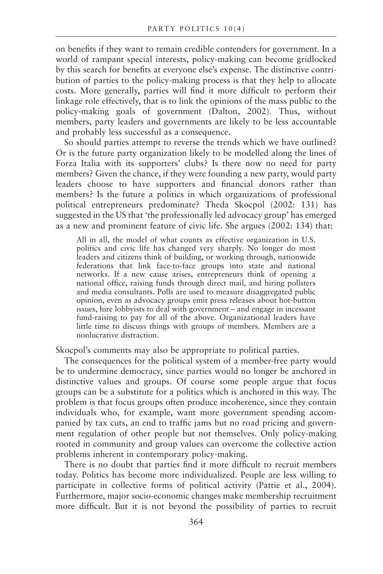on benefits if they want to remain credible contenders for government. In a world of rampant special interests, policy-making can become gridlocked by this search for benefits at everyone else's expense. The distinctive contribution of parties to the policy-making process is that they help to allocate costs. More generally, parties will find it more difficult to perform their linkage role effectively, that is to link the opinions of the mass public to the policy-making goals of government (Dalton, 2002). Thus, without members, party leaders and governments are likely to be less accountable and probably less successful as a consequence.

So should parties attempt to reverse the trends which we have outlined? Or is the future party organization likely to be modelled along the lines of Forza Italia with its supporters' clubs? Is there now no need for party members? Given the chance, if they were founding a new party, would party leaders choose to have supporters and financial donors rather than members? Is the future a politics in which organizations of professional political entrepreneurs predominate? Theda Skocpol (2002: 131) has suggested in the US that 'the professionally led advocacy group' has emerged as a new and prominent feature of civic life. She argues (2002: 134) that:

All in all, the model of what counts as effective organization in U.S. politics and civic life has changed very sharply. No longer do most leaders and citizens think of building, or working through, nationwide federations that link face-to-face groups into state and national networks. If a new cause arises, entrepreneurs think of opening a national office, raising funds through direct mail, and hiring pollsters and media consultants. Polls are used to measure disaggregated public opinion, even as advocacy groups emit press releases about hot-button issues, hire lobbyists to deal with government – and engage in incessant fund-raising to pay for all of the above. Organizational leaders have little time to discuss things with groups of members. Members are a nonlucrative distraction.

Skocpol's comments may also be appropriate to political parties.

The consequences for the political system of a member-free party would be to undermine democracy, since parties would no longer be anchored in distinctive values and groups. Of course some people argue that focus groups can be a substitute for a politics which is anchored in this way. The problem is that focus groups often produce incoherence, since they contain individuals who, for example, want more government spending accompanied by tax cuts, an end to traffic jams but no road pricing and government regulation of other people but not themselves. Only policy-making rooted in community and group values can overcome the collective action problems inherent in contemporary policy-making.

There is no doubt that parties find it more difficult to recruit members today. Politics has become more individualized. People are less willing to participate in collective forms of political activity (Pattie et al., 2004). Furthermore, major socio-economic changes make membership recruitment more difficult. But it is not beyond the possibility of parties to recruit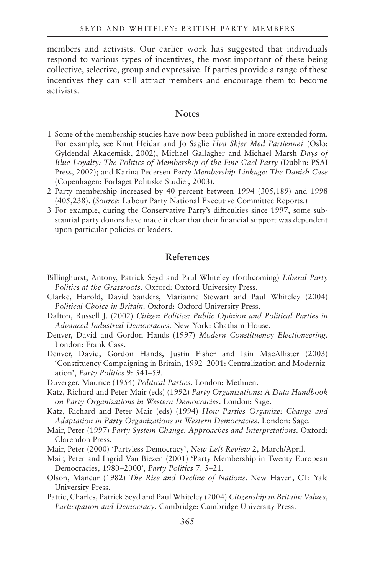members and activists. Our earlier work has suggested that individuals respond to various types of incentives, the most important of these being collective, selective, group and expressive. If parties provide a range of these incentives they can still attract members and encourage them to become activists.

#### **Notes**

- 1 Some of the membership studies have now been published in more extended form. For example, see Knut Heidar and Jo Saglie *Hva Skjer Med Partienne?* (Oslo: Gyldendal Akademisk, 2002); Michael Gallagher and Michael Marsh *Days of Blue Loyalty: The Politics of Membership of the Fine Gael Party* (Dublin: PSAI Press, 2002); and Karina Pedersen *Party Membership Linkage: The Danish Case* (Copenhagen: Forlaget Politiske Studier, 2003).
- 2 Party membership increased by 40 percent between 1994 (305,189) and 1998 (405,238). (*Source*: Labour Party National Executive Committee Reports.)
- 3 For example, during the Conservative Party's difficulties since 1997, some substantial party donors have made it clear that their financial support was dependent upon particular policies or leaders.

## **References**

- Billinghurst, Antony, Patrick Seyd and Paul Whiteley (forthcoming) *Liberal Party Politics at the Grassroots*. Oxford: Oxford University Press.
- Clarke, Harold, David Sanders, Marianne Stewart and Paul Whiteley (2004) *Political Choice in Britain*. Oxford: Oxford University Press.
- Dalton, Russell J. (2002) *Citizen Politics: Public Opinion and Political Parties in Advanced Industrial Democracies*. New York: Chatham House.
- Denver, David and Gordon Hands (1997) *Modern Constituency Electioneering*. London: Frank Cass.
- Denver, David, Gordon Hands, Justin Fisher and Iain MacAllister (2003) 'Constituency Campaigning in Britain, 1992–2001: Centralization and Modernization', *Party Politics* 9: 541–59.
- Duverger, Maurice (1954) *Political Parties*. London: Methuen.
- Katz, Richard and Peter Mair (eds) (1992) *Party Organizations: A Data Handbook on Party Organizations in Western Democracies*. London: Sage.
- Katz, Richard and Peter Mair (eds) (1994) *How Parties Organize: Change and Adaptation in Party Organizations in Western Democracies*. London: Sage.
- Mair, Peter (1997) *Party System Change: Approaches and Interpretations*. Oxford: Clarendon Press.
- Mair, Peter (2000) 'Partyless Democracy', *New Left Review* 2, March/April.
- Mair, Peter and Ingrid Van Biezen (2001) 'Party Membership in Twenty European Democracies, 1980–2000', *Party Politics* 7: 5–21.
- Olson, Mancur (1982) *The Rise and Decline of Nations*. New Haven, CT: Yale University Press.
- Pattie, Charles, Patrick Seyd and Paul Whiteley (2004) *Citizenship in Britain: Values, Participation and Democracy*. Cambridge: Cambridge University Press.